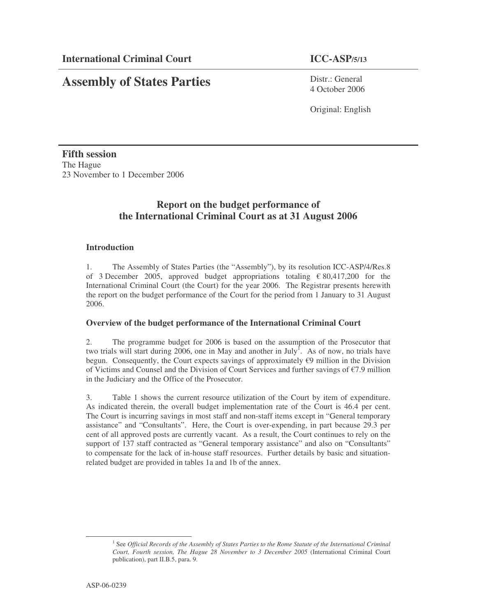# **Assembly of States Parties**

Distr · General 4 October 2006

Original: English

**Fifth session** The Hague 23 November to 1 December 2006

## **Report on the budget performance of the International Criminal Court as at 31 August 2006**

## **Introduction**

1. The Assembly of States Parties (the "Assembly"), by its resolution ICC-ASP/4/Res.8 of 3 December 2005, approved budget appropriations totaling  $\epsilon$  80,417,200 for the International Criminal Court (the Court) for the year 2006. The Registrar presents herewith the report on the budget performance of the Court for the period from 1 January to 31 August 2006.

## **Overview of the budget performance of the International Criminal Court**

2. The programme budget for 2006 is based on the assumption of the Prosecutor that two trials will start during 2006, one in May and another in July<sup>1</sup>. As of now, no trials have begun. Consequently, the Court expects savings of approximately  $\epsilon$ 9 million in the Division of Victims and Counsel and the Division of Court Services and further savings of €7.9 million in the Judiciary and the Office of the Prosecutor.

3. Table 1 shows the current resource utilization of the Court by item of expenditure. As indicated therein, the overall budget implementation rate of the Court is 46.4 per cent. The Court is incurring savings in most staff and non-staff items except in "General temporary assistance" and "Consultants". Here, the Court is over-expending, in part because 29.3 per cent of all approved posts are currently vacant. As a result, the Court continues to rely on the support of 137 staff contracted as "General temporary assistance" and also on "Consultants" to compensate for the lack of in-house staff resources. Further details by basic and situationrelated budget are provided in tables 1a and 1b of the annex.

<sup>1</sup> See *Official Records of the Assembly of States Parties to the Rome Statute of the International Criminal Court, Fourth session, The Hague 28 November to 3 December 2005* (International Criminal Court publication), part II.B.5, para. 9.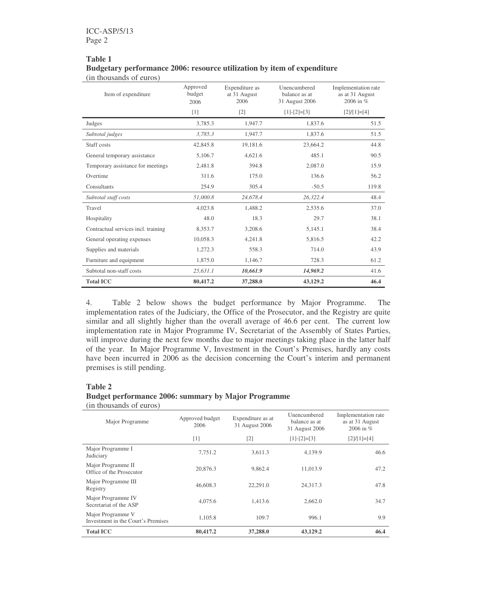#### **Table 1 Budgetary performance 2006: resource utilization by item of expenditure** (in thousands of euros)

| Item of expenditure                 | Approved<br>budget<br>2006 | Expenditure as<br>at 31 August<br>2006 | Unencumbered<br>balance as at<br>31 August 2006 | Implementation rate<br>as at 31 August<br>2006 in % |
|-------------------------------------|----------------------------|----------------------------------------|-------------------------------------------------|-----------------------------------------------------|
|                                     | $[1]$                      | $[2]$                                  | $[1]-[2]=[3]$                                   | $[2]/[1]=[4]$                                       |
| Judges                              | 3,785.3                    | 1,947.7                                | 1,837.6                                         | 51.5                                                |
| Subtotal judges                     | 3,785.3                    | 1,947.7                                | 1,837.6                                         | 51.5                                                |
| Staff costs                         | 42,845.8                   | 19,181.6                               | 23.664.2                                        | 44.8                                                |
| General temporary assistance        | 5,106.7                    | 4,621.6                                | 485.1                                           | 90.5                                                |
| Temporary assistance for meetings   | 2,481.8                    | 394.8                                  | 2,087.0                                         | 15.9                                                |
| Overtime                            | 311.6                      | 175.0                                  | 136.6                                           | 56.2                                                |
| Consultants                         | 254.9                      | 305.4                                  | $-50.5$                                         | 119.8                                               |
| Subtotal staff costs                | 51,000.8                   | 24.678.4                               | 26,322.4                                        | 48.4                                                |
| Travel                              | 4,023.8                    | 1.488.2                                | 2,535.6                                         | 37.0                                                |
| Hospitality                         | 48.0                       | 18.3                                   | 29.7                                            | 38.1                                                |
| Contractual services incl. training | 8,353.7                    | 3,208.6                                | 5,145.1                                         | 38.4                                                |
| General operating expenses          | 10,058.3                   | 4,241.8                                | 5,816.5                                         | 42.2                                                |
| Supplies and materials              | 1,272.3                    | 558.3                                  | 714.0                                           | 43.9                                                |
| Furniture and equipment             | 1,875.0                    | 1,146.7                                | 728.3                                           | 61.2                                                |
| Subtotal non-staff costs            | 25,631.1                   | 10,661.9                               | 14,969.2                                        | 41.6                                                |
| <b>Total ICC</b>                    | 80,417.2                   | 37,288.0                               | 43,129.2                                        | 46.4                                                |

4. Table 2 below shows the budget performance by Major Programme. The implementation rates of the Judiciary, the Office of the Prosecutor, and the Registry are quite similar and all slightly higher than the overall average of 46.6 per cent. The current low implementation rate in Major Programme IV, Secretariat of the Assembly of States Parties, will improve during the next few months due to major meetings taking place in the latter half of the year. In Major Programme V, Investment in the Court's Premises, hardly any costs have been incurred in 2006 as the decision concerning the Court's interim and permanent premises is still pending.

#### **Table 2**

### **Budget performance 2006: summary by Major Programme**

(in thousands of euros)

| Major Programme                                         | Approved budget<br>2006 | Expenditure as at<br>31 August 2006 | Unencumbered<br>balance as at<br>31 August 2006 | Implementation rate<br>as at 31 August<br>2006 in $%$ |
|---------------------------------------------------------|-------------------------|-------------------------------------|-------------------------------------------------|-------------------------------------------------------|
|                                                         | $\lceil 1 \rceil$       | $\lceil 2 \rceil$                   | $[1]-[2]=[3]$                                   | $[2]/[1]=[4]$                                         |
| Major Programme I<br>Judiciary                          | 7.751.2                 | 3.611.3                             | 4,139.9                                         | 46.6                                                  |
| Major Programme II<br>Office of the Prosecutor          | 20,876.3                | 9.862.4                             | 11.013.9                                        | 47.2                                                  |
| Major Programme III<br>Registry                         | 46,608.3                | 22,291.0                            | 24,317.3                                        | 47.8                                                  |
| Major Programme IV<br>Secretariat of the ASP            | 4,075.6                 | 1.413.6                             | 2,662.0                                         | 34.7                                                  |
| Major Programme V<br>Investment in the Court's Premises | 1.105.8                 | 109.7                               | 996.1                                           | 9.9                                                   |
| <b>Total ICC</b>                                        | 80,417.2                | 37,288.0                            | 43,129.2                                        | 46.4                                                  |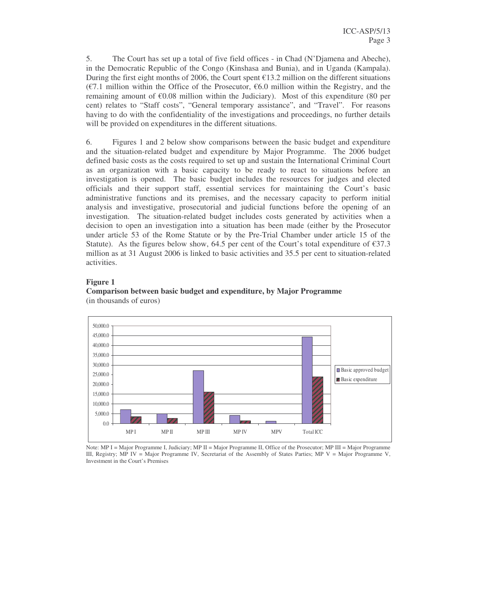5. The Court has set up a total of five field offices - in Chad (N'Djamena and Abeche), in the Democratic Republic of the Congo (Kinshasa and Bunia), and in Uganda (Kampala). During the first eight months of 2006, the Court spent  $\epsilon$ 13.2 million on the different situations (€7.1 million within the Office of the Prosecutor, €6.0 million within the Registry, and the remaining amount of  $\epsilon$ 0.08 million within the Judiciary). Most of this expenditure (80 per cent) relates to "Staff costs", "General temporary assistance", and "Travel". For reasons having to do with the confidentiality of the investigations and proceedings, no further details will be provided on expenditures in the different situations.

6. Figures 1 and 2 below show comparisons between the basic budget and expenditure and the situation-related budget and expenditure by Major Programme. The 2006 budget defined basic costs as the costs required to set up and sustain the International Criminal Court as an organization with a basic capacity to be ready to react to situations before an investigation is opened. The basic budget includes the resources for judges and elected officials and their support staff, essential services for maintaining the Court's basic administrative functions and its premises, and the necessary capacity to perform initial analysis and investigative, prosecutorial and judicial functions before the opening of an investigation. The situation-related budget includes costs generated by activities when a decision to open an investigation into a situation has been made (either by the Prosecutor under article 53 of the Rome Statute or by the Pre-Trial Chamber under article 15 of the Statute). As the figures below show, 64.5 per cent of the Court's total expenditure of  $\epsilon$ 37.3 million as at 31 August 2006 is linked to basic activities and 35.5 per cent to situation-related activities.

#### **Figure 1**



#### **Comparison between basic budget and expenditure, by Major Programme** (in thousands of euros)

Note: MP I = Major Programme I, Judiciary; MP II = Major Programme II, Office of the Prosecutor; MP III = Major Programme III, Registry; MP IV = Major Programme IV, Secretariat of the Assembly of States Parties; MP V = Major Programme V, Investment in the Court's Premises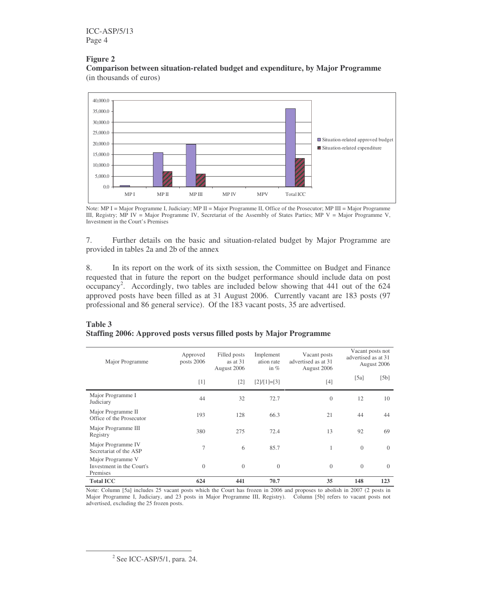## **Figure 2**

**Comparison between situation-related budget and expenditure, by Major Programme** (in thousands of euros)



Note: MP I = Major Programme I, Judiciary; MP II = Major Programme II, Office of the Prosecutor; MP III = Major Programme III, Registry; MP IV = Major Programme IV, Secretariat of the Assembly of States Parties; MP V = Major Programme V, Investment in the Court's Premises

7. Further details on the basic and situation-related budget by Major Programme are provided in tables 2a and 2b of the annex

8. In its report on the work of its sixth session, the Committee on Budget and Finance requested that in future the report on the budget performance should include data on post occupancy<sup>2</sup>. Accordingly, two tables are included below showing that 441 out of the 624 approved posts have been filled as at 31 August 2006. Currently vacant are 183 posts (97 professional and 86 general service). Of the 183 vacant posts, 35 are advertised.

#### **Table 3 Staffing 2006: Approved posts versus filled posts by Major Programme**

| Major Programme                                            | Approved<br>posts 2006 | Filled posts<br>as at $31$<br>August 2006 | Implement<br>ation rate<br>in $%$ | Vacant posts<br>advertised as at 31<br>August 2006 |          | Vacant posts not<br>advertised as at 31<br>August 2006 |
|------------------------------------------------------------|------------------------|-------------------------------------------|-----------------------------------|----------------------------------------------------|----------|--------------------------------------------------------|
|                                                            | $[1]$                  | $[2]$                                     | $[2]/[1]=[3]$                     | $[4]$                                              | [5a]     | [5b]                                                   |
| Major Programme I<br>Judiciary                             | 44                     | 32                                        | 72.7                              | $\mathbf{0}$                                       | 12       | 10                                                     |
| Major Programme II<br>Office of the Prosecutor             | 193                    | 128                                       | 66.3                              | 21                                                 | 44       | 44                                                     |
| Major Programme III<br>Registry                            | 380                    | 275                                       | 72.4                              | 13                                                 | 92       | 69                                                     |
| Major Programme IV<br>Secretariat of the ASP               | $\overline{7}$         | 6                                         | 85.7                              | 1                                                  | $\theta$ | $\theta$                                               |
| Major Programme V<br>Investment in the Court's<br>Premises | $\overline{0}$         | $\overline{0}$                            | $\Omega$                          | $\Omega$                                           | $\Omega$ | $\Omega$                                               |
| <b>Total ICC</b>                                           | 624                    | 441                                       | 70.7                              | 35                                                 | 148      | 123                                                    |

Note: Column [5a] includes 25 vacant posts which the Court has frozen in 2006 and proposes to abolish in 2007 (2 posts in Major Programme I, Judiciary, and 23 posts in Major Programme III, Registry). Column [5b] refers to vacant posts not advertised, excluding the 25 frozen posts.

<sup>&</sup>lt;sup>2</sup> See ICC-ASP/5/1, para. 24.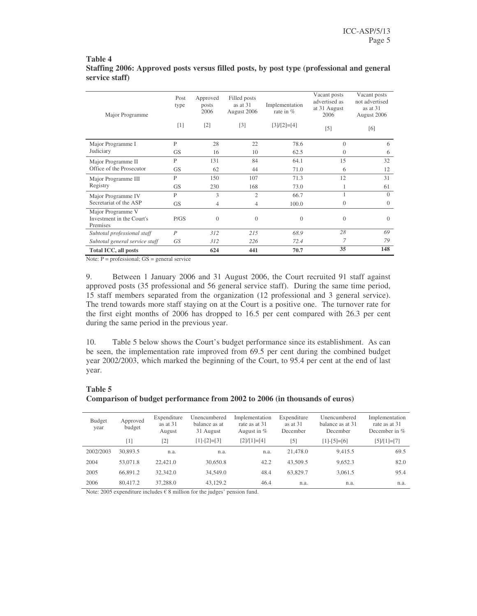#### **Table 4 Staffing 2006: Approved posts versus filled posts, by post type (professional and general service staff)**

| Major Programme                                            | Post<br>type     | Approved<br>posts<br>2006 | Filled posts<br>as at $31$<br>August 2006 | Implementation<br>rate in $%$ | Vacant posts<br>advertised as<br>at 31 August<br>2006 | Vacant posts<br>not advertised<br>as at 31<br>August 2006 |
|------------------------------------------------------------|------------------|---------------------------|-------------------------------------------|-------------------------------|-------------------------------------------------------|-----------------------------------------------------------|
|                                                            | [1]              | $[2]$                     | $\lceil 3 \rceil$                         | $[3]/[2]=[4]$                 | $\lceil 5 \rceil$                                     | [6]                                                       |
| Major Programme I                                          | $\mathbf{P}$     | 28                        | 22                                        | 78.6                          | $\Omega$                                              | 6                                                         |
| Judiciary                                                  | <b>GS</b>        | 16                        | 10                                        | 62.5                          | $\Omega$                                              | 6                                                         |
| Major Programme II                                         | $\mathsf{P}$     | 131                       | 84                                        | 64.1                          | 15                                                    | 32                                                        |
| Office of the Prosecutor                                   | <b>GS</b>        | 62                        | 44                                        | 71.0                          | 6                                                     | 12                                                        |
| Major Programme III                                        | P                | 150                       | 107                                       | 71.3                          | 12                                                    | 31                                                        |
| Registry                                                   | <b>GS</b>        | 230                       | 168                                       | 73.0                          |                                                       | 61                                                        |
| Major Programme IV                                         | P                | 3                         | $\overline{2}$                            | 66.7                          |                                                       | $\Omega$                                                  |
| Secretariat of the ASP                                     | <b>GS</b>        | 4                         | 4                                         | 100.0                         | $\overline{0}$                                        | $\theta$                                                  |
| Major Programme V<br>Investment in the Court's<br>Premises | P/GS             | $\overline{0}$            | $\theta$                                  | $\Omega$                      | $\Omega$                                              | $\Omega$                                                  |
| Subtotal professional staff                                | $\boldsymbol{P}$ | 312                       | 215                                       | 68.9                          | 28                                                    | 69                                                        |
| Subtotal general service staff                             | GS <sup>-</sup>  | 312                       | 226                                       | 72.4                          | 7                                                     | 79                                                        |
| Total ICC, all posts                                       |                  | 624                       | 441                                       | 70.7                          | 35                                                    | 148                                                       |

Note: P = professional; GS = general service

9. Between 1 January 2006 and 31 August 2006, the Court recruited 91 staff against approved posts (35 professional and 56 general service staff). During the same time period, 15 staff members separated from the organization (12 professional and 3 general service). The trend towards more staff staying on at the Court is a positive one. The turnover rate for the first eight months of 2006 has dropped to 16.5 per cent compared with 26.3 per cent during the same period in the previous year.

10. Table 5 below shows the Court's budget performance since its establishment. As can be seen, the implementation rate improved from 69.5 per cent during the combined budget year 2002/2003, which marked the beginning of the Court, to 95.4 per cent at the end of last year.

#### **Table 5**

#### **Comparison of budget performance from 2002 to 2006 (in thousands of euros)**

| Budget<br>year | Approved<br>budget | Expenditure<br>as at 31<br>August | Unencumbered<br>balance as at<br>31 August | Implementation<br>rate as at 31<br>August in $%$ | Expenditure<br>as at $31$<br>December | Unencumbered<br>balance as at 31<br>December | Implementation<br>rate as at 31<br>December in $\%$ |
|----------------|--------------------|-----------------------------------|--------------------------------------------|--------------------------------------------------|---------------------------------------|----------------------------------------------|-----------------------------------------------------|
|                | [1]                | [2]                               | $[1]-[2]=[3]$                              | $[2]/[1]=[4]$                                    | $\lceil 5 \rceil$                     | $[1]-[5]=[6]$                                | $[5]/[1]=[7]$                                       |
| 2002/2003      | 30,893.5           | n.a.                              | n.a.                                       | n.a.                                             | 21,478.0                              | 9.415.5                                      | 69.5                                                |
| 2004           | 53,071.8           | 22,421.0                          | 30,650.8                                   | 42.2                                             | 43,509.5                              | 9,652.3                                      | 82.0                                                |
| 2005           | 66,891.2           | 32,342.0                          | 34,549.0                                   | 48.4                                             | 63,829.7                              | 3,061.5                                      | 95.4                                                |
| 2006           | 80,417.2           | 37,288.0                          | 43.129.2                                   | 46.4                                             | n.a.                                  | n.a.                                         | n.a.                                                |

Note: 2005 expenditure includes  $\epsilon$  8 million for the judges' pension fund.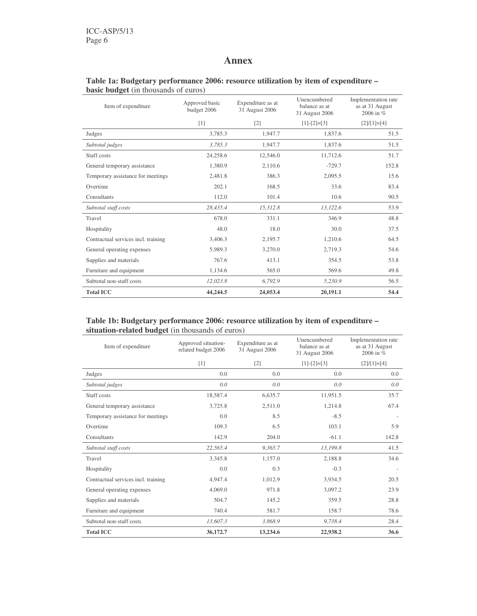## **Annex**

#### **Table 1a: Budgetary performance 2006: resource utilization by item of expenditure – basic budget** (in thousands of euros)

| Item of expenditure                 | Approved basic<br>budget 2006 | Expenditure as at<br>31 August 2006 |               | Implementation rate<br>as at 31 August<br>2006 in % |
|-------------------------------------|-------------------------------|-------------------------------------|---------------|-----------------------------------------------------|
|                                     | $[1]$                         | $[2]$                               | $[1]-[2]=[3]$ | $[2]/[1]=[4]$                                       |
| Judges                              | 3,785.3                       | 1,947.7                             | 1,837.6       | 51.5                                                |
| Subtotal judges                     | 3.785.3                       | 1,947.7                             | 1,837.6       | 51.5                                                |
| Staff costs                         | 24,258.6                      | 12,546.0                            | 11,712.6      | 51.7                                                |
| General temporary assistance        | 1,380.9                       | 2,110.6                             | $-729.7$      | 152.8                                               |
| Temporary assistance for meetings   | 2,481.8                       | 386.3                               | 2,095.5       | 15.6                                                |
| Overtime                            | 202.1                         | 168.5                               | 33.6          | 83.4                                                |
| Consultants                         | 112.0                         | 101.4                               | 10.6          | 90.5                                                |
| Subtotal staff costs                | 28,435.4                      | 15,312.8                            | 13,122.6      | 53.9                                                |
| Travel                              | 678.0                         | 331.1                               | 346.9         | 48.8                                                |
| Hospitality                         | 48.0                          | 18.0                                | 30.0          | 37.5                                                |
| Contractual services incl. training | 3,406.3                       | 2,195.7                             | 1,210.6       | 64.5                                                |
| General operating expenses          | 5,989.3                       | 3,270.0                             | 2,719.3       | 54.6                                                |
| Supplies and materials              | 767.6                         | 413.1                               | 354.5         | 53.8                                                |
| Furniture and equipment             | 1.134.6                       | 565.0                               | 569.6         | 49.8                                                |
| Subtotal non-staff costs            | 12,023.8                      | 6.792.9                             | 5,230.9       | 56.5                                                |
| <b>Total ICC</b>                    | 44,244.5                      | 24,053.4                            | 20,191.1      | 54.4                                                |

## **Table 1b: Budgetary performance 2006: resource utilization by item of expenditure – situation-related budget** (in thousands of euros)

| Item of expenditure                 | Approved situation-<br>related budget 2006 | Expenditure as at<br>31 August 2006 | Unencumbered<br>balance as at<br>31 August 2006 | Implementation rate<br>as at 31 August<br>2006 in $%$ |
|-------------------------------------|--------------------------------------------|-------------------------------------|-------------------------------------------------|-------------------------------------------------------|
|                                     | $[1]$                                      | $[2]$                               | $[1]-[2]=[3]$                                   | $[2]/[1]=[4]$                                         |
| Judges                              | 0.0                                        | 0.0                                 | 0.0                                             | 0.0                                                   |
| Subtotal judges                     | 0.0                                        | 0.0                                 | 0.0                                             | 0.0                                                   |
| Staff costs                         | 18,587.4                                   | 6,635.7                             | 11,951.5                                        | 35.7                                                  |
| General temporary assistance        | 3,725.8                                    | 2,511.0                             | 1,214.8                                         | 67.4                                                  |
| Temporary assistance for meetings   | 0.0                                        | 8.5                                 | $-8.5$                                          |                                                       |
| Overtime                            | 109.3                                      | 6.5                                 | 103.1                                           | 5.9                                                   |
| Consultants                         | 142.9                                      | 204.0                               | $-61.1$                                         | 142.8                                                 |
| Subtotal staff costs                | 22,565.4                                   | 9,365.7                             | 13,199.8                                        | 41.5                                                  |
| Travel                              | 3,345.8                                    | 1,157.0                             | 2,188.8                                         | 34.6                                                  |
| Hospitality                         | 0.0                                        | 0.3                                 | $-0.3$                                          |                                                       |
| Contractual services incl. training | 4,947.4                                    | 1,012.9                             | 3,934.5                                         | 20.5                                                  |
| General operating expenses          | 4,069.0                                    | 971.8                               | 3,097.2                                         | 23.9                                                  |
| Supplies and materials              | 504.7                                      | 145.2                               | 359.5                                           | 28.8                                                  |
| Furniture and equipment             | 740.4                                      | 581.7                               | 158.7                                           | 78.6                                                  |
| Subtotal non-staff costs            | 13,607.3                                   | 3,868.9                             | 9,738.4                                         | 28.4                                                  |
| <b>Total ICC</b>                    | 36,172.7                                   | 13,234.6                            | 22,938.2                                        | 36.6                                                  |